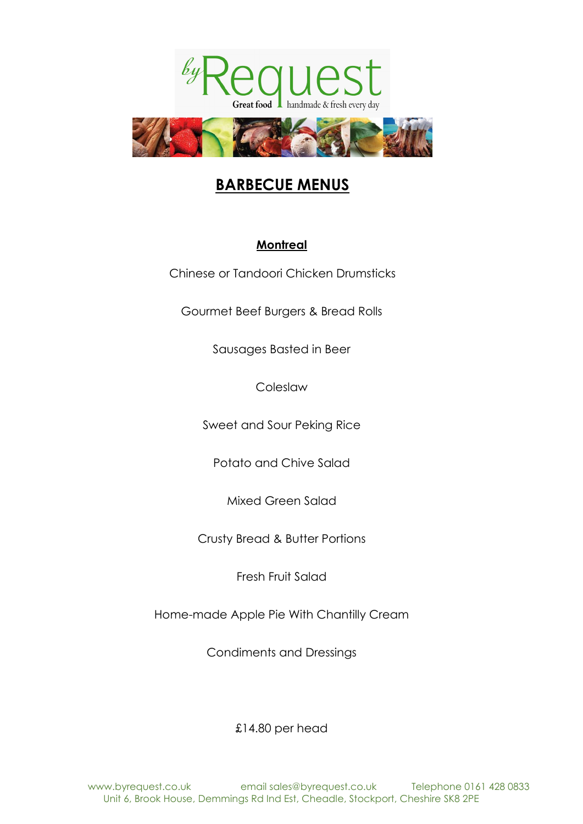



# **BARBECUE MENUS**

## **Montreal**

Chinese or Tandoori Chicken Drumsticks

Gourmet Beef Burgers & Bread Rolls

Sausages Basted in Beer

Coleslaw

Sweet and Sour Peking Rice

Potato and Chive Salad

Mixed Green Salad

Crusty Bread & Butter Portions

Fresh Fruit Salad

Home-made Apple Pie With Chantilly Cream

Condiments and Dressings

£14.80 per head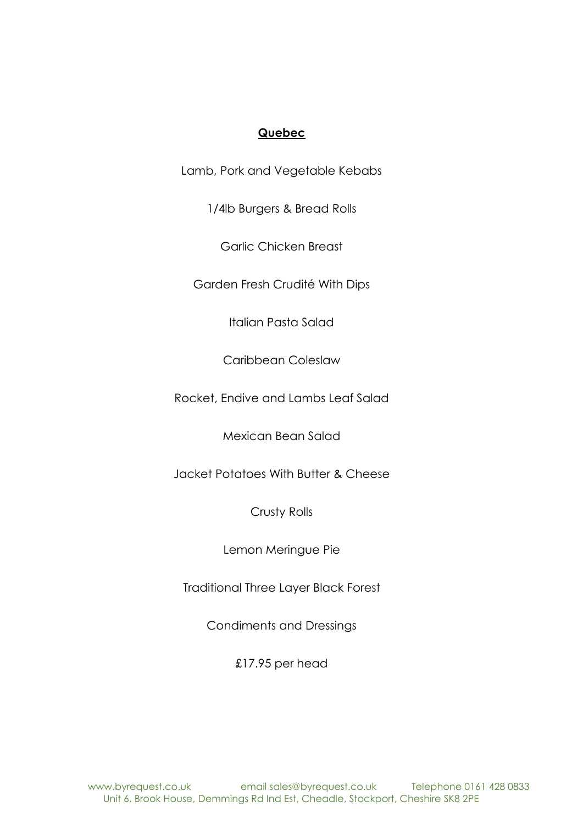### **Quebec**

Lamb, Pork and Vegetable Kebabs

1/4lb Burgers & Bread Rolls

Garlic Chicken Breast

Garden Fresh Crudité With Dips

Italian Pasta Salad

Caribbean Coleslaw

Rocket, Endive and Lambs Leaf Salad

Mexican Bean Salad

Jacket Potatoes With Butter & Cheese

Crusty Rolls

Lemon Meringue Pie

Traditional Three Layer Black Forest

Condiments and Dressings

£17.95 per head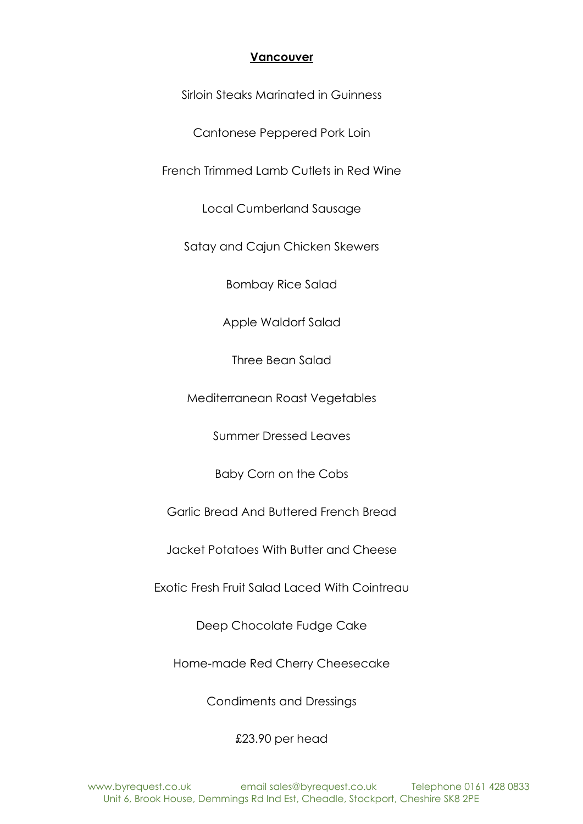### **Vancouver**

Sirloin Steaks Marinated in Guinness

Cantonese Peppered Pork Loin

French Trimmed Lamb Cutlets in Red Wine

Local Cumberland Sausage

Satay and Cajun Chicken Skewers

Bombay Rice Salad

Apple Waldorf Salad

Three Bean Salad

Mediterranean Roast Vegetables

Summer Dressed Leaves

Baby Corn on the Cobs

Garlic Bread And Buttered French Bread

Jacket Potatoes With Butter and Cheese

Exotic Fresh Fruit Salad Laced With Cointreau

Deep Chocolate Fudge Cake

Home-made Red Cherry Cheesecake

Condiments and Dressings

£23.90 per head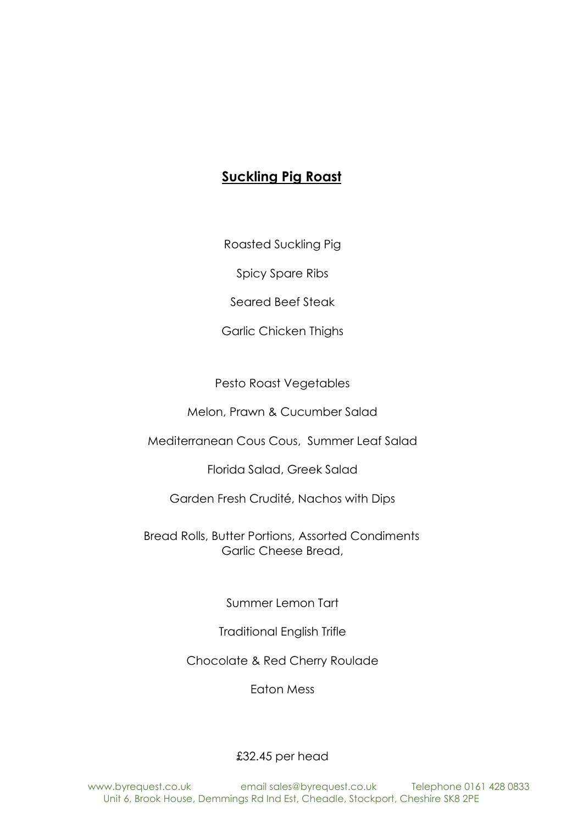# **Suckling Pig Roast**

Roasted Suckling Pig

Spicy Spare Ribs

Seared Beef Steak

Garlic Chicken Thighs

Pesto Roast Vegetables

Melon, Prawn & Cucumber Salad

Mediterranean Cous Cous, Summer Leaf Salad

Florida Salad, Greek Salad

Garden Fresh Crudité, Nachos with Dips

Bread Rolls, Butter Portions, Assorted Condiments Garlic Cheese Bread,

Summer Lemon Tart

Traditional English Trifle

Chocolate & Red Cherry Roulade

Eaton Mess

### £32.45 per head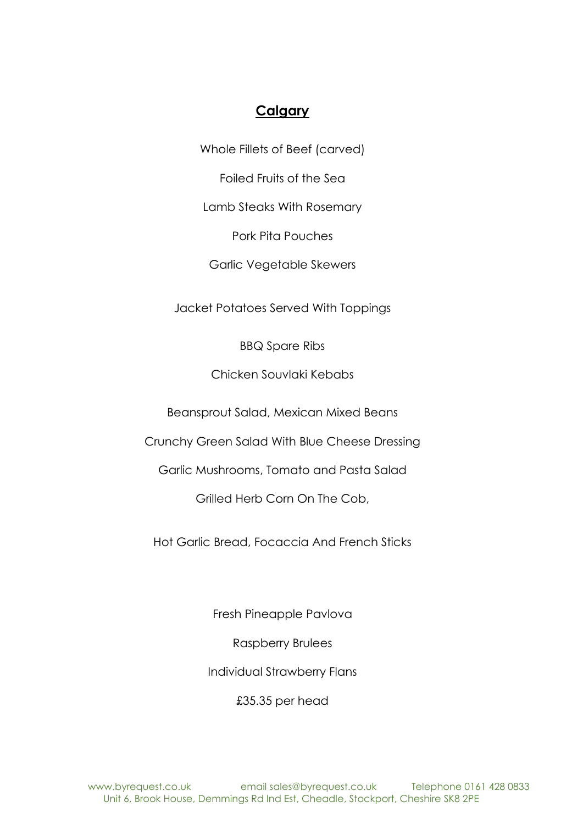## **Calgary**

Whole Fillets of Beef (carved)

Foiled Fruits of the Sea

Lamb Steaks With Rosemary

Pork Pita Pouches

Garlic Vegetable Skewers

Jacket Potatoes Served With Toppings

BBQ Spare Ribs

Chicken Souvlaki Kebabs

Beansprout Salad, Mexican Mixed Beans

Crunchy Green Salad With Blue Cheese Dressing

Garlic Mushrooms, Tomato and Pasta Salad

Grilled Herb Corn On The Cob,

Hot Garlic Bread, Focaccia And French Sticks

Fresh Pineapple Pavlova

Raspberry Brulees

Individual Strawberry Flans

£35.35 per head